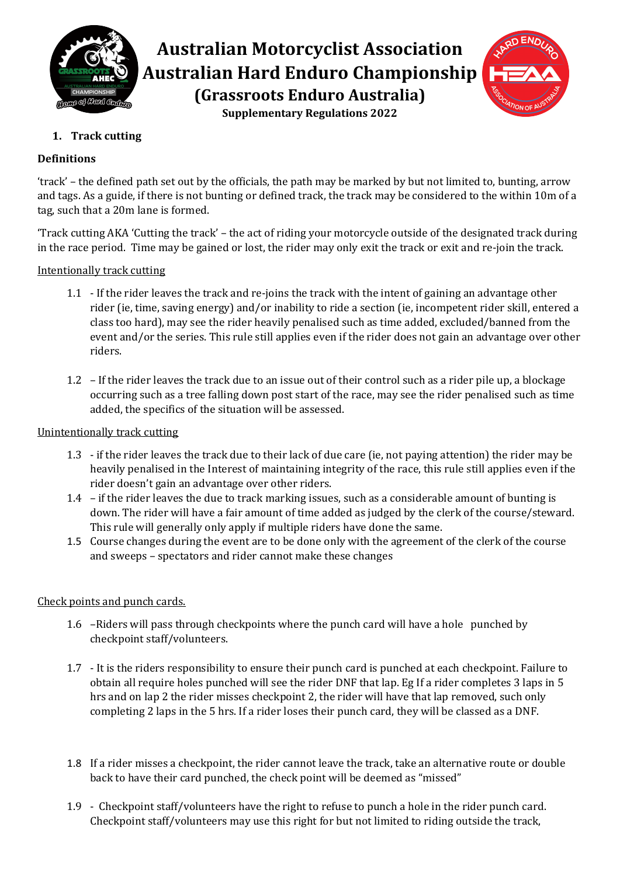

# **Australian Motorcyclist Association Australian Hard Enduro Championship (Grassroots Enduro Australia) Supplementary Regulations 2022**



# **1. Track cutting**

## **Definitions**

'track' – the defined path set out by the officials, the path may be marked by but not limited to, bunting, arrow and tags. As a guide, if there is not bunting or defined track, the track may be considered to the within 10m of a tag, such that a 20m lane is formed.

'Track cutting AKA 'Cutting the track' – the act of riding your motorcycle outside of the designated track during in the race period. Time may be gained or lost, the rider may only exit the track or exit and re-join the track.

Intentionally track cutting

- 1.1 If the rider leaves the track and re-joins the track with the intent of gaining an advantage other rider (ie, time, saving energy) and/or inability to ride a section (ie, incompetent rider skill, entered a class too hard), may see the rider heavily penalised such as time added, excluded/banned from the event and/or the series. This rule still applies even if the rider does not gain an advantage over other riders.
- 1.2 If the rider leaves the track due to an issue out of their control such as a rider pile up, a blockage occurring such as a tree falling down post start of the race, may see the rider penalised such as time added, the specifics of the situation will be assessed.

## Unintentionally track cutting

- 1.3 if the rider leaves the track due to their lack of due care (ie, not paying attention) the rider may be heavily penalised in the Interest of maintaining integrity of the race, this rule still applies even if the rider doesn't gain an advantage over other riders.
- 1.4 if the rider leaves the due to track marking issues, such as a considerable amount of bunting is down. The rider will have a fair amount of time added as judged by the clerk of the course/steward. This rule will generally only apply if multiple riders have done the same.
- 1.5 Course changes during the event are to be done only with the agreement of the clerk of the course and sweeps – spectators and rider cannot make these changes

## Check points and punch cards.

- 1.6 –Riders will pass through checkpoints where the punch card will have a hole punched by checkpoint staff/volunteers.
- 1.7 It is the riders responsibility to ensure their punch card is punched at each checkpoint. Failure to obtain all require holes punched will see the rider DNF that lap. Eg If a rider completes 3 laps in 5 hrs and on lap 2 the rider misses checkpoint 2, the rider will have that lap removed, such only completing 2 laps in the 5 hrs. If a rider loses their punch card, they will be classed as a DNF.
- 1.8 If a rider misses a checkpoint, the rider cannot leave the track, take an alternative route or double back to have their card punched, the check point will be deemed as "missed"
- 1.9 Checkpoint staff/volunteers have the right to refuse to punch a hole in the rider punch card. Checkpoint staff/volunteers may use this right for but not limited to riding outside the track,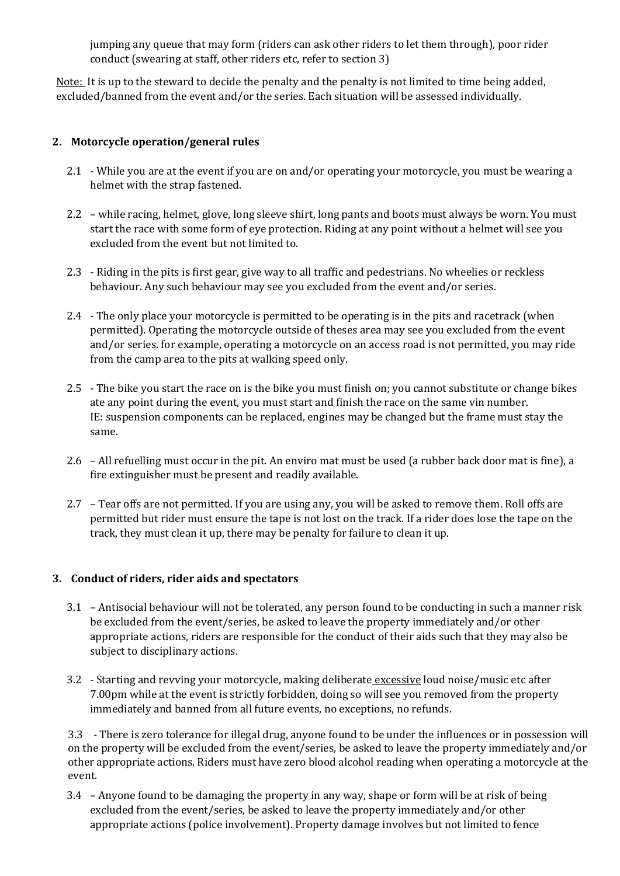jumping any queue that may form (riders can ask other riders to let them through), poor rider conduct (swearing at staff, other riders etc, refer to section 3)

Note: It is up to the steward to decide the penalty and the penalty is not limited to time being added, excluded/banned from the event and/or the series. Each situation will be assessed individually.

## **2. Motorcycle operation/general rules**

- 2.1 While you are at the event if you are on and/or operating your motorcycle, you must be wearing a helmet with the strap fastened.
- 2.2 while racing, helmet, glove, long sleeve shirt, long pants and boots must always be worn. You must start the race with some form of eye protection. Riding at any point without a helmet will see you excluded from the event but not limited to.
- 2.3 Riding in the pits is first gear, give way to all traffic and pedestrians. No wheelies or reckless behaviour. Any such behaviour may see you excluded from the event and/or series.
- 2.4 The only place your motorcycle is permitted to be operating is in the pits and racetrack (when permitted). Operating the motorcycle outside of theses area may see you excluded from the event and/or series. for example, operating a motorcycle on an access road is not permitted, you may ride from the camp area to the pits at walking speed only.
- 2.5 The bike you start the race on is the bike you must finish on; you cannot substitute or change bikes ate any point during the event, you must start and finish the race on the same vin number. IE: suspension components can be replaced, engines may be changed but the frame must stay the same.
- 2.6 All refuelling must occur in the pit. An enviro mat must be used (a rubber back door mat is fine), a fire extinguisher must be present and readily available.
- 2.7 Tear offs are not permitted. If you are using any, you will be asked to remove them. Roll offs are permitted but rider must ensure the tape is not lost on the track. If a rider does lose the tape on the track, they must clean it up, there may be penalty for failure to clean it up.

#### **3. Conduct of riders, rider aids and spectators**

- 3.1 Antisocial behaviour will not be tolerated, any person found to be conducting in such a manner risk be excluded from the event/series, be asked to leave the property immediately and/or other appropriate actions, riders are responsible for the conduct of their aids such that they may also be subject to disciplinary actions.
- 3.2 Starting and revving your motorcycle, making deliberate excessive loud noise/music etc after 7.00pm while at the event is strictly forbidden, doing so will see you removed from the property immediately and banned from all future events, no exceptions, no refunds.

3.3 - There is zero tolerance for illegal drug, anyone found to be under the influences or in possession will on the property will be excluded from the event/series, be asked to leave the property immediately and/or other appropriate actions. Riders must have zero blood alcohol reading when operating a motorcycle at the event.

3.4 – Anyone found to be damaging the property in any way, shape or form will be at risk of being excluded from the event/series, be asked to leave the property immediately and/or other appropriate actions (police involvement). Property damage involves but not limited to fence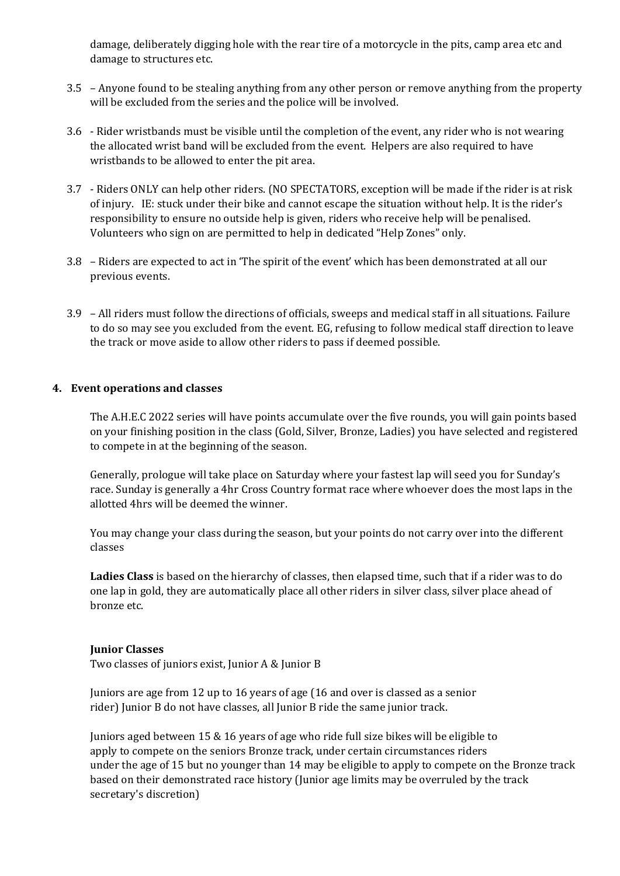damage, deliberately digging hole with the rear tire of a motorcycle in the pits, camp area etc and damage to structures etc.

- 3.5 Anyone found to be stealing anything from any other person or remove anything from the property will be excluded from the series and the police will be involved.
- 3.6 Rider wristbands must be visible until the completion of the event, any rider who is not wearing the allocated wrist band will be excluded from the event. Helpers are also required to have wristbands to be allowed to enter the pit area.
- 3.7 Riders ONLY can help other riders. (NO SPECTATORS, exception will be made if the rider is at risk of injury. IE: stuck under their bike and cannot escape the situation without help. It is the rider's responsibility to ensure no outside help is given, riders who receive help will be penalised. Volunteers who sign on are permitted to help in dedicated "Help Zones" only.
- 3.8 Riders are expected to act in 'The spirit of the event' which has been demonstrated at all our previous events.
- 3.9 All riders must follow the directions of officials, sweeps and medical staff in all situations. Failure to do so may see you excluded from the event. EG, refusing to follow medical staff direction to leave the track or move aside to allow other riders to pass if deemed possible.

#### **4. Event operations and classes**

The A.H.E.C 2022 series will have points accumulate over the five rounds, you will gain points based on your finishing position in the class (Gold, Silver, Bronze, Ladies) you have selected and registered to compete in at the beginning of the season.

Generally, prologue will take place on Saturday where your fastest lap will seed you for Sunday's race. Sunday is generally a 4hr Cross Country format race where whoever does the most laps in the allotted 4hrs will be deemed the winner.

You may change your class during the season, but your points do not carry over into the different classes

**Ladies Class** is based on the hierarchy of classes, then elapsed time, such that if a rider was to do one lap in gold, they are automatically place all other riders in silver class, silver place ahead of bronze etc.

#### **Junior Classes**

Two classes of juniors exist, Junior A & Junior B

Juniors are age from 12 up to 16 years of age (16 and over is classed as a senior rider) Junior B do not have classes, all Junior B ride the same junior track.

Juniors aged between 15 & 16 years of age who ride full size bikes will be eligible to apply to compete on the seniors Bronze track, under certain circumstances riders under the age of 15 but no younger than 14 may be eligible to apply to compete on the Bronze track based on their demonstrated race history (Junior age limits may be overruled by the track secretary's discretion)